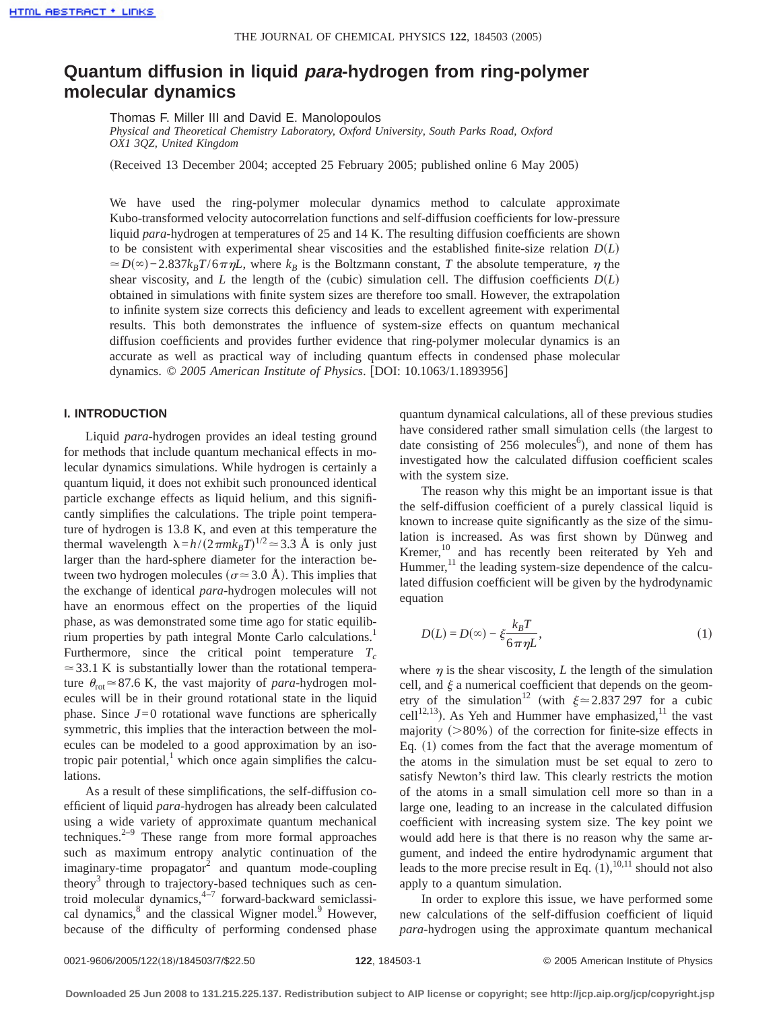# **Quantum diffusion in liquid para-hydrogen from ring-polymer molecular dynamics**

Thomas F. Miller III and David E. Manolopoulos

*Physical and Theoretical Chemistry Laboratory, Oxford University, South Parks Road, Oxford OX1 3QZ, United Kingdom*

(Received 13 December 2004; accepted 25 February 2005; published online 6 May 2005)

We have used the ring-polymer molecular dynamics method to calculate approximate Kubo-transformed velocity autocorrelation functions and self-diffusion coefficients for low-pressure liquid *para*-hydrogen at temperatures of 25 and 14 K. The resulting diffusion coefficients are shown to be consistent with experimental shear viscosities and the established finite-size relation  $D(L)$  $\approx D(\infty) - 2.837k_B T/6\pi\eta L$ , where  $k_B$  is the Boltzmann constant, *T* the absolute temperature,  $\eta$  the shear viscosity, and *L* the length of the (cubic) simulation cell. The diffusion coefficients  $D(L)$ obtained in simulations with finite system sizes are therefore too small. However, the extrapolation to infinite system size corrects this deficiency and leads to excellent agreement with experimental results. This both demonstrates the influence of system-size effects on quantum mechanical diffusion coefficients and provides further evidence that ring-polymer molecular dynamics is an accurate as well as practical way of including quantum effects in condensed phase molecular dynamics. © 2005 American Institute of Physics. [DOI: 10.1063/1.1893956]

## **I. INTRODUCTION**

Liquid *para*-hydrogen provides an ideal testing ground for methods that include quantum mechanical effects in molecular dynamics simulations. While hydrogen is certainly a quantum liquid, it does not exhibit such pronounced identical particle exchange effects as liquid helium, and this significantly simplifies the calculations. The triple point temperature of hydrogen is 13.8 K, and even at this temperature the thermal wavelength  $\lambda = h/(2\pi m k_B T)^{1/2} \approx 3.3 \text{ Å}$  is only just larger than the hard-sphere diameter for the interaction between two hydrogen molecules ( $\sigma \approx 3.0$  Å). This implies that the exchange of identical *para*-hydrogen molecules will not have an enormous effect on the properties of the liquid phase, as was demonstrated some time ago for static equilibrium properties by path integral Monte Carlo calculations.<sup>1</sup> Furthermore, since the critical point temperature  $T_c$  $\approx$  33.1 K is substantially lower than the rotational temperature  $\theta_{\text{rot}} \approx 87.6$  K, the vast majority of *para*-hydrogen molecules will be in their ground rotational state in the liquid phase. Since  $J=0$  rotational wave functions are spherically symmetric, this implies that the interaction between the molecules can be modeled to a good approximation by an isotropic pair potential, $<sup>1</sup>$  which once again simplifies the calcu-</sup> lations.

As a result of these simplifications, the self-diffusion coefficient of liquid *para*-hydrogen has already been calculated using a wide variety of approximate quantum mechanical techniques. $2-9$  These range from more formal approaches such as maximum entropy analytic continuation of the imaginary-time propagator $2$  and quantum mode-coupling theory3 through to trajectory-based techniques such as centroid molecular dynamics, $4\overline{4}$  forward-backward semiclassical dynamics, $8$  and the classical Wigner model. $9$  However, because of the difficulty of performing condensed phase quantum dynamical calculations, all of these previous studies have considered rather small simulation cells (the largest to date consisting of 256 molecules<sup>6</sup>), and none of them has investigated how the calculated diffusion coefficient scales with the system size.

The reason why this might be an important issue is that the self-diffusion coefficient of a purely classical liquid is known to increase quite significantly as the size of the simulation is increased. As was first shown by Dünweg and Kremer,<sup>10</sup> and has recently been reiterated by Yeh and Hummer, $^{11}$  the leading system-size dependence of the calculated diffusion coefficient will be given by the hydrodynamic equation

$$
D(L) = D(\infty) - \xi \frac{k_B T}{6 \pi \eta L},
$$
\n(1)

where  $\eta$  is the shear viscosity, *L* the length of the simulation cell, and  $\xi$  a numerical coefficient that depends on the geometry of the simulation<sup>12</sup> (with  $\xi \approx 2.837 297$  for a cubic cell<sup>12,13</sup>). As Yeh and Hummer have emphasized,<sup>11</sup> the vast majority  $(>\!\!80\%)$  of the correction for finite-size effects in Eq.  $(1)$  comes from the fact that the average momentum of the atoms in the simulation must be set equal to zero to satisfy Newton's third law. This clearly restricts the motion of the atoms in a small simulation cell more so than in a large one, leading to an increase in the calculated diffusion coefficient with increasing system size. The key point we would add here is that there is no reason why the same argument, and indeed the entire hydrodynamic argument that leads to the more precise result in Eq.  $(1),^{10,11}$  should not also apply to a quantum simulation.

In order to explore this issue, we have performed some new calculations of the self-diffusion coefficient of liquid *para*-hydrogen using the approximate quantum mechanical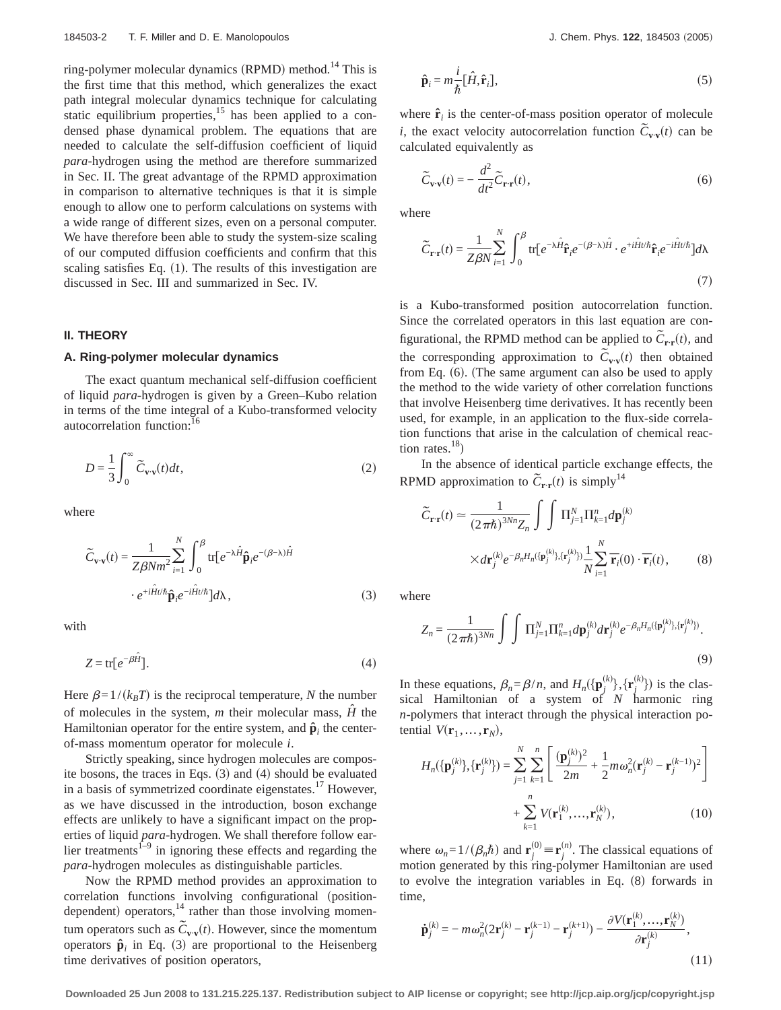ring-polymer molecular dynamics (RPMD) method.<sup>14</sup> This is the first time that this method, which generalizes the exact path integral molecular dynamics technique for calculating static equilibrium properties, $15$  has been applied to a condensed phase dynamical problem. The equations that are needed to calculate the self-diffusion coefficient of liquid *para*-hydrogen using the method are therefore summarized in Sec. II. The great advantage of the RPMD approximation in comparison to alternative techniques is that it is simple enough to allow one to perform calculations on systems with a wide range of different sizes, even on a personal computer. We have therefore been able to study the system-size scaling of our computed diffusion coefficients and confirm that this scaling satisfies Eq.  $(1)$ . The results of this investigation are discussed in Sec. III and summarized in Sec. IV.

## **II. THEORY**

## **A. Ring-polymer molecular dynamics**

The exact quantum mechanical self-diffusion coefficient of liquid *para*-hydrogen is given by a Green–Kubo relation in terms of the time integral of a Kubo-transformed velocity autocorrelation function:

$$
D = \frac{1}{3} \int_0^\infty \widetilde{C}_{\mathbf{v} \cdot \mathbf{v}}(t) dt,
$$
\n(2)

where

$$
\widetilde{C}_{\mathbf{v}\cdot\mathbf{v}}(t) = \frac{1}{Z\beta N m^2} \sum_{i=1}^{N} \int_0^{\beta} \text{tr}\left[e^{-\lambda \hat{H}} \hat{\mathbf{p}}_i e^{-(\beta - \lambda)\hat{H}}\right]
$$
\n
$$
\cdot e^{+i\hat{H}t/\hbar} \hat{\mathbf{p}}_i e^{-i\hat{H}t/\hbar} \, d\lambda,\tag{3}
$$

with

$$
Z = \text{tr}[e^{-\beta \hat{H}}].\tag{4}
$$

Here  $\beta=1/(k_BT)$  is the reciprocal temperature, *N* the number of molecules in the system,  $m$  their molecular mass,  $\hat{H}$  the Hamiltonian operator for the entire system, and  $\hat{\mathbf{p}}_i$  the centerof-mass momentum operator for molecule *i*.

Strictly speaking, since hydrogen molecules are composite bosons, the traces in Eqs.  $(3)$  and  $(4)$  should be evaluated in a basis of symmetrized coordinate eigenstates.<sup>17</sup> However, as we have discussed in the introduction, boson exchange effects are unlikely to have a significant impact on the properties of liquid *para*-hydrogen. We shall therefore follow earlier treatments<sup> $1-9$ </sup> in ignoring these effects and regarding the *para*-hydrogen molecules as distinguishable particles.

Now the RPMD method provides an approximation to correlation functions involving configurational (positiondependent) operators, $^{14}$  rather than those involving momentum operators such as  $\tilde{C}_{v,v}(t)$ . However, since the momentum operators  $\hat{\mathbf{p}}_i$  in Eq. (3) are proportional to the Heisenberg time derivatives of position operators,

$$
\hat{\mathbf{p}}_i = m \frac{i}{\hbar} [\hat{H}, \hat{\mathbf{r}}_i],\tag{5}
$$

where  $\hat{\mathbf{r}}_i$  is the center-of-mass position operator of molecule *i*, the exact velocity autocorrelation function  $\tilde{C}_{\mathbf{v} \cdot \mathbf{v}}(t)$  can be calculated equivalently as

$$
\widetilde{C}_{\mathbf{v}\cdot\mathbf{v}}(t) = -\frac{d^2}{dt^2}\widetilde{C}_{\mathbf{r}\cdot\mathbf{r}}(t),\tag{6}
$$

where

$$
\widetilde{C}_{\mathbf{r}\cdot\mathbf{r}}(t) = \frac{1}{Z\beta N} \sum_{i=1}^{N} \int_{0}^{\beta} \text{tr}[e^{-\lambda \hat{H}} \hat{\mathbf{r}}_{i} e^{-(\beta-\lambda)\hat{H}} \cdot e^{+i\hat{H}t/\hbar} \hat{\mathbf{r}}_{i} e^{-i\hat{H}t/\hbar}] d\lambda
$$
\n(7)

is a Kubo-transformed position autocorrelation function. Since the correlated operators in this last equation are configurational, the RPMD method can be applied to  $\tilde{C}_{\mathbf{r} \cdot \mathbf{r}}(t)$ , and the corresponding approximation to  $\tilde{C}_{\mathbf{v} \cdot \mathbf{v}}(t)$  then obtained from Eq.  $(6)$ . (The same argument can also be used to apply the method to the wide variety of other correlation functions that involve Heisenberg time derivatives. It has recently been used, for example, in an application to the flux-side correlation functions that arise in the calculation of chemical reaction rates. $^{18}$ )

In the absence of identical particle exchange effects, the RPMD approximation to  $\tilde{C}_{\mathbf{r} \cdot \mathbf{r}}(t)$  is simply<sup>14</sup>

$$
\widetilde{C}_{\mathbf{r}\cdot\mathbf{r}}(t) \approx \frac{1}{(2\pi\hbar)^{3Nn}Z_n} \int \int \prod_{j=1}^N \prod_{k=1}^n d\mathbf{p}_j^{(k)}
$$
\n
$$
\times d\mathbf{r}_j^{(k)} e^{-\beta_n H_n(\{\mathbf{p}_j^{(k)}\},\{\mathbf{r}_j^{(k)}\})} \frac{1}{N} \sum_{i=1}^N \overline{\mathbf{r}}_i(0) \cdot \overline{\mathbf{r}}_i(t),
$$
\n(8)

where

$$
Z_n = \frac{1}{(2\pi\hbar)^{3Nn}} \int \int \Pi_{j=1}^N \Pi_{k=1}^n d\mathbf{p}_j^{(k)} d\mathbf{r}_j^{(k)} e^{-\beta_n H_n(\{\mathbf{p}_j^{(k)}\};\{\mathbf{r}_j^{(k)}\})}.
$$
\n(9)

In these equations,  $\beta_n = \beta/n$ , and  $H_n(\{\mathbf{p}_j^{(k)}\}, {\{\mathbf{r}_j^{(k)}\}})$  is the classical Hamiltonian of a system of *N* harmonic ring *n*-polymers that interact through the physical interaction potential  $V(\mathbf{r}_1, \ldots, \mathbf{r}_N)$ ,

$$
H_n(\{\mathbf{p}_j^{(k)}\}, {\{\mathbf{r}_j^{(k)}\}}) = \sum_{j=1}^N \sum_{k=1}^n \left[ \frac{(\mathbf{p}_j^{(k)})^2}{2m} + \frac{1}{2} m \omega_n^2 (\mathbf{r}_j^{(k)} - \mathbf{r}_j^{(k-1)})^2 \right] + \sum_{k=1}^n V(\mathbf{r}_1^{(k)}, \dots, \mathbf{r}_N^{(k)}),
$$
(10)

where  $\omega_n = 1/(\beta_n \hbar)$  and  $\mathbf{r}_j^{(0)} \equiv \mathbf{r}_j^{(n)}$ . The classical equations of motion generated by this ring-polymer Hamiltonian are used to evolve the integration variables in Eq.  $(8)$  forwards in time,

$$
\dot{\mathbf{p}}_{j}^{(k)} = -m\omega_{n}^{2}(2\mathbf{r}_{j}^{(k)} - \mathbf{r}_{j}^{(k-1)} - \mathbf{r}_{j}^{(k+1)}) - \frac{\partial V(\mathbf{r}_{1}^{(k)}, ..., \mathbf{r}_{N}^{(k)})}{\partial \mathbf{r}_{j}^{(k)}},
$$
\n(11)

**Downloaded 25 Jun 2008 to 131.215.225.137. Redistribution subject to AIP license or copyright; see http://jcp.aip.org/jcp/copyright.jsp**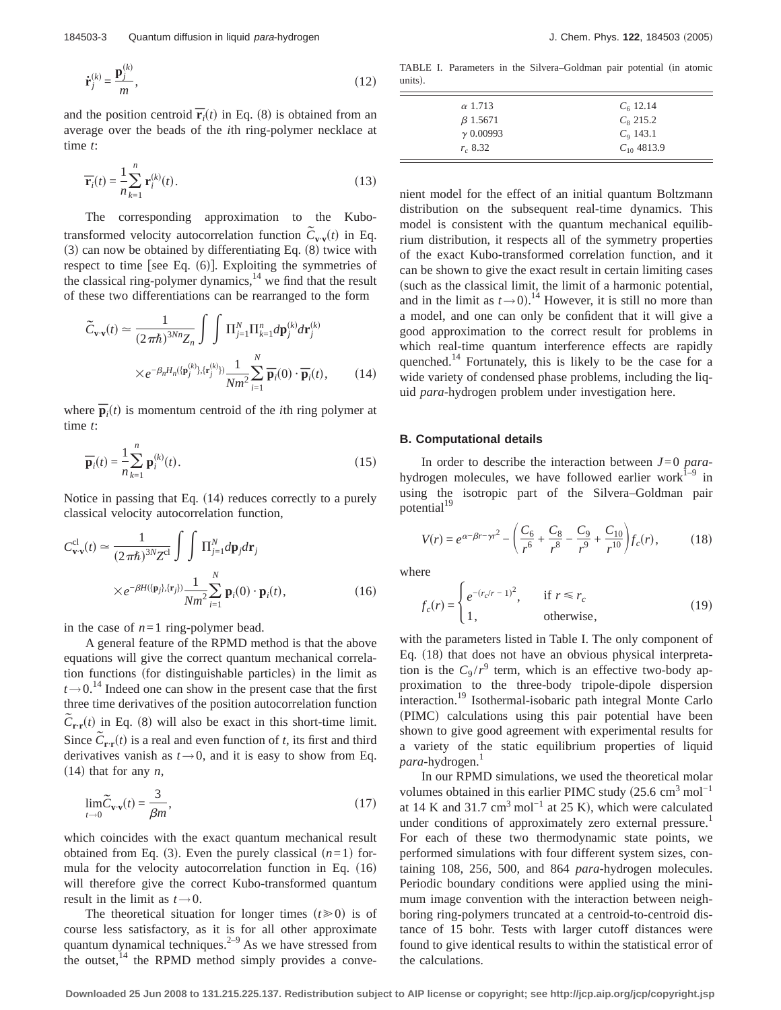$$
\dot{\mathbf{r}}_j^{(k)} = \frac{\mathbf{p}_j^{(k)}}{m},\tag{12}
$$

and the position centroid  $\overline{\mathbf{r}}_i(t)$  in Eq. (8) is obtained from an average over the beads of the *i*th ring-polymer necklace at time *t*:

$$
\overline{\mathbf{r}}_i(t) = \frac{1}{n} \sum_{k=1}^n \mathbf{r}_i^{(k)}(t).
$$
 (13)

The corresponding approximation to the Kubotransformed velocity autocorrelation function  $\tilde{C}_{\mathbf{v}\cdot\mathbf{v}}(t)$  in Eq.  $(3)$  can now be obtained by differentiating Eq.  $(8)$  twice with respect to time [see Eq.  $(6)$ ]. Exploiting the symmetries of the classical ring-polymer dynamics, $14$  we find that the result of these two differentiations can be rearranged to the form

$$
\widetilde{C}_{\mathbf{v}\cdot\mathbf{v}}(t) \approx \frac{1}{(2\pi\hbar)^{3Nn}Z_n} \int \int \prod_{j=1}^N \Pi_{j=1}^n d\mathbf{p}_j^{(k)} d\mathbf{r}_j^{(k)}
$$
\n
$$
\times e^{-\beta_n H_n(\{\mathbf{p}_j^{(k)}\};\{\mathbf{r}_j^{(k)}\})} \frac{1}{Nm^2} \sum_{i=1}^N \overline{\mathbf{p}}_i(0) \cdot \overline{\mathbf{p}}_i(t), \qquad (14)
$$

where  $\overline{\mathbf{p}}_i(t)$  is momentum centroid of the *i*th ring polymer at time *t*:

$$
\overline{\mathbf{p}}_i(t) = \frac{1}{n} \sum_{k=1}^n \mathbf{p}_i^{(k)}(t).
$$
 (15)

Notice in passing that Eq.  $(14)$  reduces correctly to a purely classical velocity autocorrelation function,

$$
C_{\mathbf{v}\cdot\mathbf{v}}^{cl}(t) \approx \frac{1}{(2\pi\hbar)^{3N}Z^{cl}} \int \int \prod_{j=1}^{N} d\mathbf{p}_j d\mathbf{r}_j
$$
  
 
$$
\times e^{-\beta H(\{\mathbf{p}_j\},\{\mathbf{r}_j\})} \frac{1}{Nm^2} \sum_{i=1}^{N} \mathbf{p}_i(0) \cdot \mathbf{p}_i(t),
$$
 (16)

in the case of *n*=1 ring-polymer bead.

A general feature of the RPMD method is that the above equations will give the correct quantum mechanical correlation functions (for distinguishable particles) in the limit as  $t \rightarrow 0$ .<sup>14</sup> Indeed one can show in the present case that the first three time derivatives of the position autocorrelation function  $\tilde{C}_{\mathbf{r}\cdot\mathbf{r}}(t)$  in Eq. (8) will also be exact in this short-time limit. Since  $\tilde{C}_{\mathbf{r}\cdot\mathbf{r}}(t)$  is a real and even function of *t*, its first and third derivatives vanish as  $t \rightarrow 0$ , and it is easy to show from Eq.  $(14)$  that for any *n*,

$$
\lim_{t \to 0} \widetilde{C}_{\mathbf{v} \cdot \mathbf{v}}(t) = \frac{3}{\beta m},\tag{17}
$$

which coincides with the exact quantum mechanical result obtained from Eq. (3). Even the purely classical  $(n=1)$  formula for the velocity autocorrelation function in Eq.  $(16)$ will therefore give the correct Kubo-transformed quantum result in the limit as  $t \rightarrow 0$ .

The theoretical situation for longer times  $(t \ge 0)$  is of course less satisfactory, as it is for all other approximate quantum dynamical techniques.<sup> $2-9$ </sup> As we have stressed from the outset, $^{14}$  the RPMD method simply provides a conve-

TABLE I. Parameters in the Silvera–Goldman pair potential (in atomic units).

| $\alpha$ 1.713   | $C_6$ 12.14       |
|------------------|-------------------|
| $\beta$ 1.5671   | $C_8$ 215.2       |
| $\gamma$ 0.00993 | $C_{\rm o}$ 143.1 |
| $r_{0.} 8.32$    | $C_{10}$ 4813.9   |

nient model for the effect of an initial quantum Boltzmann distribution on the subsequent real-time dynamics. This model is consistent with the quantum mechanical equilibrium distribution, it respects all of the symmetry properties of the exact Kubo-transformed correlation function, and it can be shown to give the exact result in certain limiting cases such as the classical limit, the limit of a harmonic potential, and in the limit as  $t \rightarrow 0$ <sup>14</sup>. However, it is still no more than a model, and one can only be confident that it will give a good approximation to the correct result for problems in which real-time quantum interference effects are rapidly quenched.<sup>14</sup> Fortunately, this is likely to be the case for a wide variety of condensed phase problems, including the liquid *para*-hydrogen problem under investigation here.

#### **B. Computational details**

In order to describe the interaction between *J*=0 *para*hydrogen molecules, we have followed earlier work $1-9$  in using the isotropic part of the Silvera–Goldman pair potential<sup>19</sup>

$$
V(r) = e^{\alpha - \beta r - \gamma r^2} - \left(\frac{C_6}{r^6} + \frac{C_8}{r^8} - \frac{C_9}{r^9} + \frac{C_{10}}{r^{10}}\right) f_c(r),\tag{18}
$$

where

$$
f_c(r) = \begin{cases} e^{-(r_c/r - 1)^2}, & \text{if } r \le r_c \\ 1, & \text{otherwise,} \end{cases}
$$
 (19)

with the parameters listed in Table I. The only component of Eq. (18) that does not have an obvious physical interpretation is the  $C_9/r^9$  term, which is an effective two-body approximation to the three-body tripole-dipole dispersion interaction.19 Isothermal-isobaric path integral Monte Carlo (PIMC) calculations using this pair potential have been shown to give good agreement with experimental results for a variety of the static equilibrium properties of liquid *para*-hydrogen.<sup>1</sup>

In our RPMD simulations, we used the theoretical molar volumes obtained in this earlier PIMC study  $(25.6 \text{ cm}^3 \text{ mol}^{-1})$ at 14 K and 31.7 cm<sup>3</sup> mol<sup>-1</sup> at 25 K), which were calculated under conditions of approximately zero external pressure.<sup>1</sup> For each of these two thermodynamic state points, we performed simulations with four different system sizes, containing 108, 256, 500, and 864 *para*-hydrogen molecules. Periodic boundary conditions were applied using the minimum image convention with the interaction between neighboring ring-polymers truncated at a centroid-to-centroid distance of 15 bohr. Tests with larger cutoff distances were found to give identical results to within the statistical error of the calculations.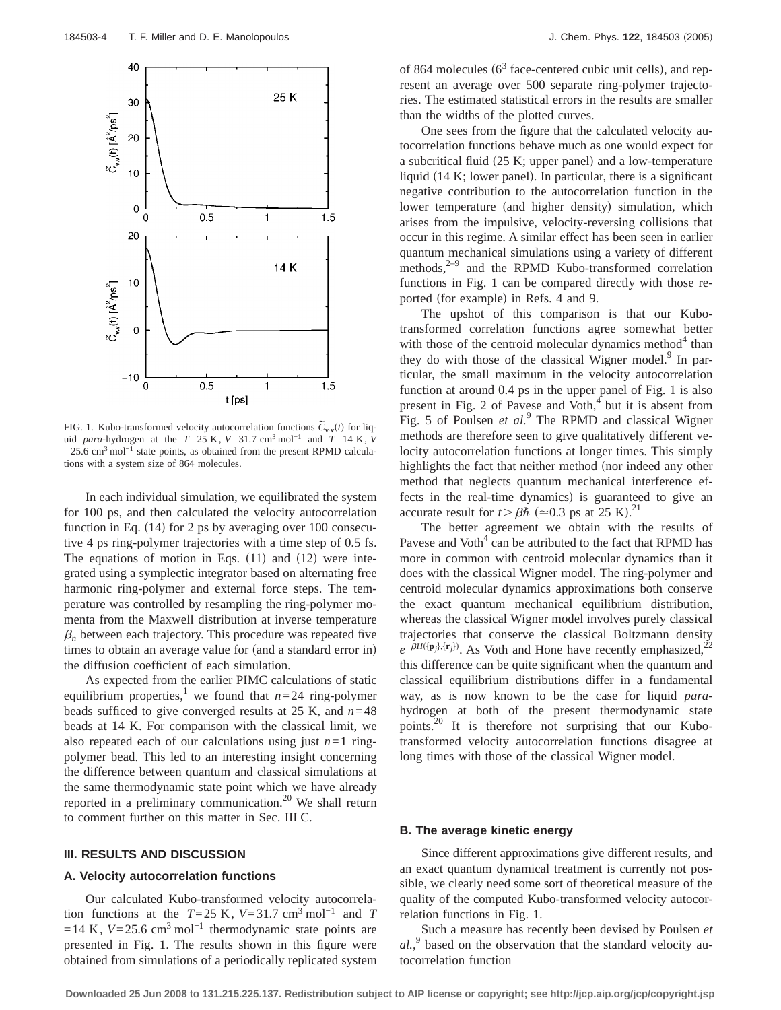

FIG. 1. Kubo-transformed velocity autocorrelation functions  $\tilde{C}_{\mathbf{v}\cdot\mathbf{v}}(t)$  for liquid *para*-hydrogen at the  $T=25$  K,  $V=31.7$  cm<sup>3</sup> mol<sup>-1</sup> and  $T=14$  K,  $V$  $=$  25.6 cm<sup>3</sup> mol<sup>-1</sup> state points, as obtained from the present RPMD calculations with a system size of 864 molecules.

In each individual simulation, we equilibrated the system for 100 ps, and then calculated the velocity autocorrelation function in Eq.  $(14)$  for 2 ps by averaging over 100 consecutive 4 ps ring-polymer trajectories with a time step of 0.5 fs. The equations of motion in Eqs.  $(11)$  and  $(12)$  were integrated using a symplectic integrator based on alternating free harmonic ring-polymer and external force steps. The temperature was controlled by resampling the ring-polymer momenta from the Maxwell distribution at inverse temperature  $\beta_n$  between each trajectory. This procedure was repeated five times to obtain an average value for (and a standard error in) the diffusion coefficient of each simulation.

As expected from the earlier PIMC calculations of static equilibrium properties,<sup>1</sup> we found that  $n=24$  ring-polymer beads sufficed to give converged results at 25 K, and *n*=48 beads at 14 K. For comparison with the classical limit, we also repeated each of our calculations using just  $n=1$  ringpolymer bead. This led to an interesting insight concerning the difference between quantum and classical simulations at the same thermodynamic state point which we have already reported in a preliminary communication.<sup>20</sup> We shall return to comment further on this matter in Sec. III C.

#### **III. RESULTS AND DISCUSSION**

# **A. Velocity autocorrelation functions**

Our calculated Kubo-transformed velocity autocorrelation functions at the  $T=25$  K,  $V=31.7$  cm<sup>3</sup> mol<sup>-1</sup> and *T*  $=14$  K,  $V=25.6$  cm<sup>3</sup> mol<sup>-1</sup> thermodynamic state points are presented in Fig. 1. The results shown in this figure were obtained from simulations of a periodically replicated system

of 864 molecules ( $6<sup>3</sup>$  face-centered cubic unit cells), and represent an average over 500 separate ring-polymer trajectories. The estimated statistical errors in the results are smaller than the widths of the plotted curves.

One sees from the figure that the calculated velocity autocorrelation functions behave much as one would expect for a subcritical fluid  $(25 K; upper panel)$  and a low-temperature liquid  $(14 K;$  lower panel). In particular, there is a significant negative contribution to the autocorrelation function in the lower temperature (and higher density) simulation, which arises from the impulsive, velocity-reversing collisions that occur in this regime. A similar effect has been seen in earlier quantum mechanical simulations using a variety of different methods, $2-9$  and the RPMD Kubo-transformed correlation functions in Fig. 1 can be compared directly with those reported (for example) in Refs. 4 and 9.

The upshot of this comparison is that our Kubotransformed correlation functions agree somewhat better with those of the centroid molecular dynamics method $4$  than they do with those of the classical Wigner model. $9$  In particular, the small maximum in the velocity autocorrelation function at around 0.4 ps in the upper panel of Fig. 1 is also present in Fig. 2 of Pavese and Voth, $4$  but it is absent from Fig. 5 of Poulsen *et al.*<sup>9</sup> The RPMD and classical Wigner methods are therefore seen to give qualitatively different velocity autocorrelation functions at longer times. This simply highlights the fact that neither method (nor indeed any other method that neglects quantum mechanical interference effects in the real-time dynamics) is guaranteed to give an accurate result for  $t > \beta \hbar$  ( $\approx 0.3$  ps at 25 K).<sup>21</sup>

The better agreement we obtain with the results of Pavese and  $\text{Voth}^4$  can be attributed to the fact that RPMD has more in common with centroid molecular dynamics than it does with the classical Wigner model. The ring-polymer and centroid molecular dynamics approximations both conserve the exact quantum mechanical equilibrium distribution, whereas the classical Wigner model involves purely classical trajectories that conserve the classical Boltzmann density  $e^{-\beta H(\{p_j\},\{r_j\})}$ . As Voth and Hone have recently emphasized,<sup>22</sup> this difference can be quite significant when the quantum and classical equilibrium distributions differ in a fundamental way, as is now known to be the case for liquid *para*hydrogen at both of the present thermodynamic state points.20 It is therefore not surprising that our Kubotransformed velocity autocorrelation functions disagree at long times with those of the classical Wigner model.

# **B. The average kinetic energy**

Since different approximations give different results, and an exact quantum dynamical treatment is currently not possible, we clearly need some sort of theoretical measure of the quality of the computed Kubo-transformed velocity autocorrelation functions in Fig. 1.

Such a measure has recently been devised by Poulsen *et al.*, <sup>9</sup> based on the observation that the standard velocity autocorrelation function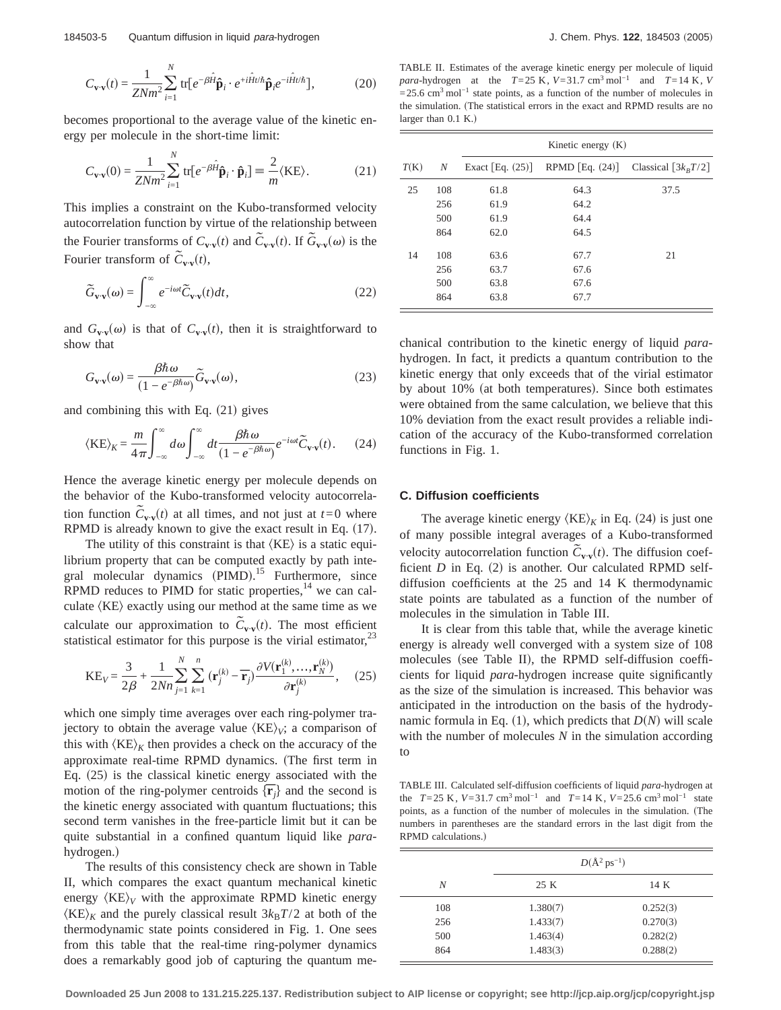$$
C_{\mathbf{v}\cdot\mathbf{v}}(t) = \frac{1}{Z N m^2} \sum_{i=1}^{N} \text{tr} \left[ e^{-\beta \hat{H}} \hat{\mathbf{p}}_i \cdot e^{+i \hat{H} t/\hbar} \hat{\mathbf{p}}_i e^{-i \hat{H} t/\hbar} \right],
$$
 (20)

becomes proportional to the average value of the kinetic energy per molecule in the short-time limit:

$$
C_{\mathbf{v}\cdot\mathbf{v}}(0) = \frac{1}{ZNm^2} \sum_{i=1}^{N} \text{tr}[e^{-\beta \hat{H}} \hat{\mathbf{p}}_i \cdot \hat{\mathbf{p}}_i] \equiv \frac{2}{m} \langle \text{KE} \rangle. \tag{21}
$$

This implies a constraint on the Kubo-transformed velocity autocorrelation function by virtue of the relationship between the Fourier transforms of  $C_{\mathbf{v} \cdot \mathbf{v}}(t)$  and  $\tilde{C}_{\mathbf{v} \cdot \mathbf{v}}(t)$ . If  $\tilde{G}_{\mathbf{v} \cdot \mathbf{v}}(\omega)$  is the Fourier transform of  $\tilde{C}_{\mathbf{v}\cdot\mathbf{v}}(t)$ ,

$$
\widetilde{G}_{\mathbf{v}\cdot\mathbf{v}}(\omega) = \int_{-\infty}^{\infty} e^{-i\omega t} \widetilde{C}_{\mathbf{v}\cdot\mathbf{v}}(t) dt,
$$
\n(22)

and  $G_{\mathbf{v}\cdot\mathbf{v}}(\omega)$  is that of  $C_{\mathbf{v}\cdot\mathbf{v}}(t)$ , then it is straightforward to show that

$$
G_{\mathbf{v}\cdot\mathbf{v}}(\omega) = \frac{\beta \hbar \,\omega}{(1 - e^{-\beta \hbar \,\omega})} \tilde{G}_{\mathbf{v}\cdot\mathbf{v}}(\omega),\tag{23}
$$

and combining this with Eq.  $(21)$  gives

$$
\langle KE \rangle_K = \frac{m}{4\pi} \int_{-\infty}^{\infty} d\omega \int_{-\infty}^{\infty} dt \frac{\beta \hbar \omega}{(1 - e^{-\beta \hbar \omega})} e^{-i\omega t} \tilde{C}_{\mathbf{v} \cdot \mathbf{v}}(t). \tag{24}
$$

Hence the average kinetic energy per molecule depends on the behavior of the Kubo-transformed velocity autocorrelation function  $\tilde{C}_{\mathbf{v}\cdot\mathbf{v}}(t)$  at all times, and not just at  $t=0$  where RPMD is already known to give the exact result in Eq.  $(17)$ .

The utility of this constraint is that  $K \to \infty$  is a static equilibrium property that can be computed exactly by path integral molecular dynamics (PIMD).<sup>15</sup> Furthermore, since RPMD reduces to PIMD for static properties, $^{14}$  we can calculate  $K$ E) exactly using our method at the same time as we calculate our approximation to  $\tilde{C}_{\mathbf{v} \cdot \mathbf{v}}(t)$ . The most efficient statistical estimator for this purpose is the virial estimator, $\frac{2}{3}$ 

$$
KE_V = \frac{3}{2\beta} + \frac{1}{2Nn} \sum_{j=1}^{N} \sum_{k=1}^{n} (\mathbf{r}_j^{(k)} - \overline{\mathbf{r}}_j) \frac{\partial V(\mathbf{r}_1^{(k)}, ..., \mathbf{r}_N^{(k)})}{\partial \mathbf{r}_j^{(k)}},
$$
 (25)

which one simply time averages over each ring-polymer trajectory to obtain the average value  $\langle KE \rangle_V$ ; a comparison of this with  $\langle KE \rangle_K$  then provides a check on the accuracy of the approximate real-time RPMD dynamics. (The first term in Eq.  $(25)$  is the classical kinetic energy associated with the motion of the ring-polymer centroids  $\{\bar{\mathbf{r}}_i\}$  and the second is the kinetic energy associated with quantum fluctuations; this second term vanishes in the free-particle limit but it can be quite substantial in a confined quantum liquid like *para*hydrogen.)

The results of this consistency check are shown in Table II, which compares the exact quantum mechanical kinetic energy  $\langle KE \rangle_V$  with the approximate RPMD kinetic energy  $\langle KE \rangle_K$  and the purely classical result  $3k_B T/2$  at both of the thermodynamic state points considered in Fig. 1. One sees from this table that the real-time ring-polymer dynamics does a remarkably good job of capturing the quantum me-

TABLE II. Estimates of the average kinetic energy per molecule of liquid *para*-hydrogen at the  $T=25 \text{ K}$ ,  $V=31.7 \text{ cm}^3 \text{ mol}^{-1}$  and  $T=14 \text{ K}$ ,  $V$  $=25.6$  cm<sup>3</sup> mol<sup>-1</sup> state points, as a function of the number of molecules in the simulation. (The statistical errors in the exact and RPMD results are no larger than  $0.1$  K.)

|      |     | Kinetic energy $(K)$ |                 |                       |  |
|------|-----|----------------------|-----------------|-----------------------|--|
| T(K) | N   | Exact [Eq. $(25)$ ]  | RPMD $Eq. (24)$ | Classical $[3k_BT/2]$ |  |
| 25   | 108 | 61.8                 | 64.3            | 37.5                  |  |
|      | 256 | 61.9                 | 64.2            |                       |  |
|      | 500 | 61.9                 | 64.4            |                       |  |
|      | 864 | 62.0                 | 64.5            |                       |  |
| 14   | 108 | 63.6                 | 67.7            | 21                    |  |
|      | 256 | 63.7                 | 67.6            |                       |  |
|      | 500 | 63.8                 | 67.6            |                       |  |
|      | 864 | 63.8                 | 67.7            |                       |  |

chanical contribution to the kinetic energy of liquid *para*hydrogen. In fact, it predicts a quantum contribution to the kinetic energy that only exceeds that of the virial estimator by about 10% (at both temperatures). Since both estimates were obtained from the same calculation, we believe that this 10% deviation from the exact result provides a reliable indication of the accuracy of the Kubo-transformed correlation functions in Fig. 1.

## **C. Diffusion coefficients**

The average kinetic energy  $\langle KE \rangle_K$  in Eq. (24) is just one of many possible integral averages of a Kubo-transformed velocity autocorrelation function  $\tilde{C}_{\mathbf{v} \cdot \mathbf{v}}(t)$ . The diffusion coefficient  $D$  in Eq. (2) is another. Our calculated RPMD selfdiffusion coefficients at the 25 and 14 K thermodynamic state points are tabulated as a function of the number of molecules in the simulation in Table III.

It is clear from this table that, while the average kinetic energy is already well converged with a system size of 108 molecules (see Table II), the RPMD self-diffusion coefficients for liquid *para*-hydrogen increase quite significantly as the size of the simulation is increased. This behavior was anticipated in the introduction on the basis of the hydrodynamic formula in Eq. (1), which predicts that  $D(N)$  will scale with the number of molecules *N* in the simulation according to

TABLE III. Calculated self-diffusion coefficients of liquid *para*-hydrogen at the  $T=25$  K,  $V=31.7$  cm<sup>3</sup> mol<sup>-1</sup> and  $T=14$  K,  $V=25.6$  cm<sup>3</sup> mol<sup>-1</sup> state points, as a function of the number of molecules in the simulation. (The numbers in parentheses are the standard errors in the last digit from the RPMD calculations.)

|     | $D(\AA^2 \text{ ps}^{-1})$ |          |  |
|-----|----------------------------|----------|--|
| N   | 25 K                       | 14 K     |  |
| 108 | 1.380(7)                   | 0.252(3) |  |
| 256 | 1.433(7)                   | 0.270(3) |  |
| 500 | 1.463(4)                   | 0.282(2) |  |
| 864 | 1.483(3)                   | 0.288(2) |  |

**Downloaded 25 Jun 2008 to 131.215.225.137. Redistribution subject to AIP license or copyright; see http://jcp.aip.org/jcp/copyright.jsp**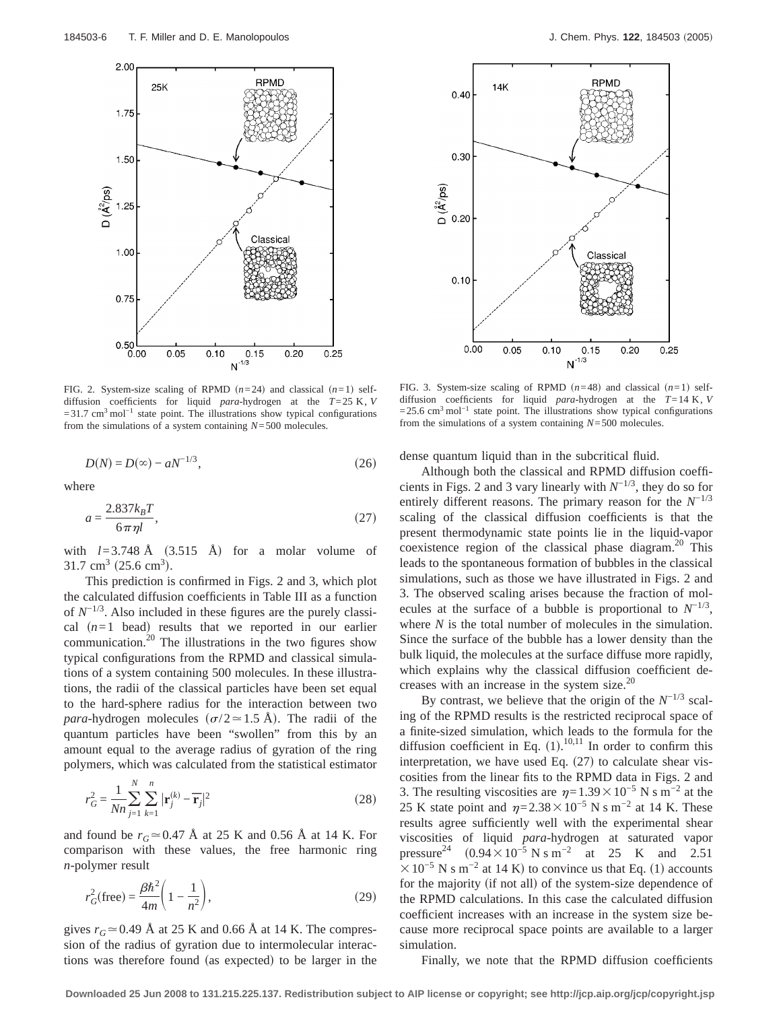

FIG. 2. System-size scaling of RPMD  $(n=24)$  and classical  $(n=1)$  selfdiffusion coefficients for liquid *para*-hydrogen at the *T*=25 K, *V*  $=31.7$  cm<sup>3</sup> mol<sup>-1</sup> state point. The illustrations show typical configurations from the simulations of a system containing *N*=500 molecules.

$$
D(N) = D(\infty) - aN^{-1/3},
$$
\n(26)

where

$$
a = \frac{2.837k_BT}{6\pi\eta l},\tag{27}
$$

with  $l=3.748 \text{ Å}$  (3.515 Å) for a molar volume of  $31.7 \text{ cm}^3 \ (25.6 \text{ cm}^3).$ 

This prediction is confirmed in Figs. 2 and 3, which plot the calculated diffusion coefficients in Table III as a function of *N*−1/3. Also included in these figures are the purely classical  $(n=1$  bead) results that we reported in our earlier communication.<sup>20</sup> The illustrations in the two figures show typical configurations from the RPMD and classical simulations of a system containing 500 molecules. In these illustrations, the radii of the classical particles have been set equal to the hard-sphere radius for the interaction between two *para*-hydrogen molecules ( $\sigma/2 \approx 1.5$  Å). The radii of the quantum particles have been "swollen" from this by an amount equal to the average radius of gyration of the ring polymers, which was calculated from the statistical estimator

$$
r_G^2 = \frac{1}{Nn} \sum_{j=1}^{N} \sum_{k=1}^{n} |\mathbf{r}_j^{(k)} - \overline{\mathbf{r}}_j|^2
$$
 (28)

and found be  $r_G \approx 0.47$  Å at 25 K and 0.56 Å at 14 K. For comparison with these values, the free harmonic ring *n*-polymer result

$$
r_G^2(\text{free}) = \frac{\beta \hbar^2}{4m} \left( 1 - \frac{1}{n^2} \right),\tag{29}
$$

gives  $r_G \approx 0.49$  Å at 25 K and 0.66 Å at 14 K. The compression of the radius of gyration due to intermolecular interactions was therefore found (as expected) to be larger in the



FIG. 3. System-size scaling of RPMD  $(n=48)$  and classical  $(n=1)$  selfdiffusion coefficients for liquid *para*-hydrogen at the *T*=14 K, *V* =25.6 cm3 mol−1 state point. The illustrations show typical configurations from the simulations of a system containing *N*=500 molecules.

dense quantum liquid than in the subcritical fluid.

Although both the classical and RPMD diffusion coefficients in Figs. 2 and 3 vary linearly with  $N^{-1/3}$ , they do so for entirely different reasons. The primary reason for the *N*−1/3 scaling of the classical diffusion coefficients is that the present thermodynamic state points lie in the liquid-vapor coexistence region of the classical phase diagram. $20$  This leads to the spontaneous formation of bubbles in the classical simulations, such as those we have illustrated in Figs. 2 and 3. The observed scaling arises because the fraction of molecules at the surface of a bubble is proportional to  $N^{-1/3}$ , where *N* is the total number of molecules in the simulation. Since the surface of the bubble has a lower density than the bulk liquid, the molecules at the surface diffuse more rapidly, which explains why the classical diffusion coefficient decreases with an increase in the system size. $^{20}$ 

By contrast, we believe that the origin of the  $N^{-1/3}$  scaling of the RPMD results is the restricted reciprocal space of a finite-sized simulation, which leads to the formula for the diffusion coefficient in Eq.  $(1)$ .<sup>10,11</sup> In order to confirm this interpretation, we have used Eq.  $(27)$  to calculate shear viscosities from the linear fits to the RPMD data in Figs. 2 and 3. The resulting viscosities are  $\eta=1.39\times10^{-5}$  N s m<sup>-2</sup> at the 25 K state point and  $\eta$ =2.38×10<sup>-5</sup> N s m<sup>-2</sup> at 14 K. These results agree sufficiently well with the experimental shear viscosities of liquid *para*-hydrogen at saturated vapor pressure<sup>24</sup>  $(0.94 \times 10^{-5} \text{ N s m}^{-2} \text{ at } 25 \text{ K} \text{ and } 2.51$  $\times 10^{-5}$  N s m<sup>-2</sup> at 14 K) to convince us that Eq. (1) accounts for the majority (if not all) of the system-size dependence of the RPMD calculations. In this case the calculated diffusion coefficient increases with an increase in the system size because more reciprocal space points are available to a larger simulation.

Finally, we note that the RPMD diffusion coefficients